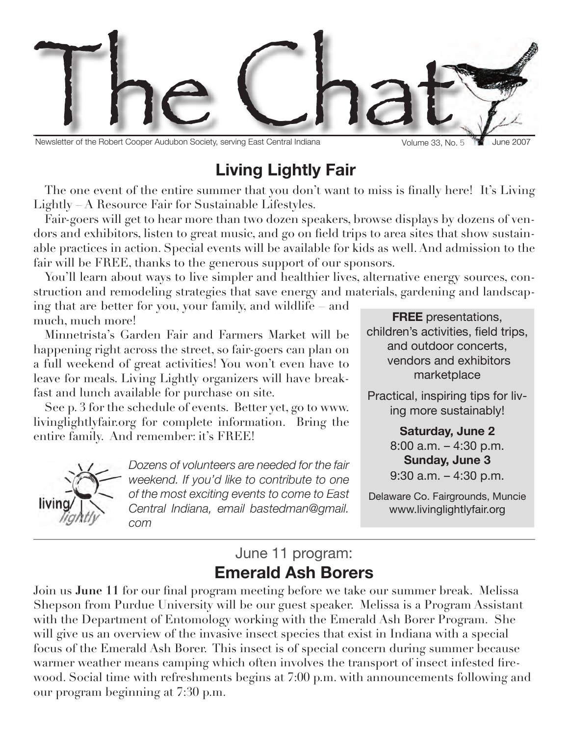

Newsletter of the Robert Cooper Audubon Society, serving East Central Indiana Volume 33, No. 5

Volume 33, No. 5

# **Living Lightly Fair**

The one event of the entire summer that you don't want to miss is finally here! It's Living Lightly – A Resource Fair for Sustainable Lifestyles.

Fair-goers will get to hear more than two dozen speakers, browse displays by dozens of vendors and exhibitors, listen to great music, and go on field trips to area sites that show sustainable practices in action. Special events will be available for kids as well. And admission to the fair will be FREE, thanks to the generous support of our sponsors.

You'll learn about ways to live simpler and healthier lives, alternative energy sources, construction and remodeling strategies that save energy and materials, gardening and landscaping that are better for you, your family, and wildlife – and

much, much more!

Minnetrista's Garden Fair and Farmers Market will be happening right across the street, so fair-goers can plan on a full weekend of great activities! You won't even have to leave for meals. Living Lightly organizers will have breakfast and lunch available for purchase on site.

See p. 3 for the schedule of events. Better yet, go to www. livinglightlyfair.org for complete information. Bring the entire family. And remember: it's FREE!



*Dozens of volunteers are needed for the fair weekend. If you'd like to contribute to one of the most exciting events to come to East Central Indiana, email bastedman@gmail. com*

**FREE** presentations, children's activities, field trips, and outdoor concerts, vendors and exhibitors marketplace

Practical, inspiring tips for living more sustainably!

> **Saturday, June 2** 8:00 a.m. – 4:30 p.m. **Sunday, June 3** 9:30 a.m. – 4:30 p.m.

Delaware Co. Fairgrounds, Muncie www.livinglightlyfair.org

## June 11 program: **Emerald Ash Borers**

Join us June 11 for our final program meeting before we take our summer break. Melissa Shepson from Purdue University will be our guest speaker. Melissa is a Program Assistant with the Department of Entomology working with the Emerald Ash Borer Program. She will give us an overview of the invasive insect species that exist in Indiana with a special focus of the Emerald Ash Borer. This insect is of special concern during summer because warmer weather means camping which often involves the transport of insect infested firewood. Social time with refreshments begins at 7:00 p.m. with announcements following and our program beginning at 7:30 p.m.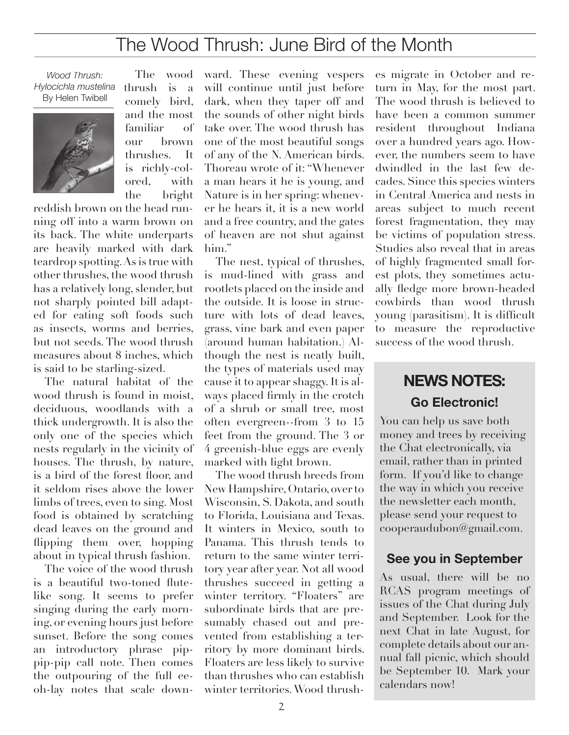# The Wood Thrush: June Bird of the Month

*Wood Thrush: Hylocichla mustelina* By Helen Twibell



thrush is a comely bird, and the most familiar of our brown thrushes. It is richly-colored, with the bright

The wood

reddish brown on the head running off into a warm brown on its back. The white underparts are heavily marked with dark teardrop spotting. As is true with other thrushes, the wood thrush has a relatively long, slender, but not sharply pointed bill adapted for eating soft foods such as insects, worms and berries, but not seeds. The wood thrush measures about 8 inches, which is said to be starling-sized.

The natural habitat of the wood thrush is found in moist. deciduous, woodlands with a thick undergrowth. It is also the only one of the species which nests regularly in the vicinity of houses. The thrush, by nature, is a bird of the forest floor, and it seldom rises above the lower limbs of trees, even to sing. Most food is obtained by scratching dead leaves on the ground and flipping them over, hopping about in typical thrush fashion.

The voice of the wood thrush is a beautiful two-toned flutelike song. It seems to prefer singing during the early morning, or evening hours just before sunset. Before the song comes an introductory phrase pippip-pip call note. Then comes the outpouring of the full eeoh-lay notes that scale downward. These evening vespers will continue until just before dark, when they taper off and the sounds of other night birds take over. The wood thrush has one of the most beautiful songs of any of the N. American birds. Thoreau wrote of it: "Whenever a man hears it he is young, and Nature is in her spring: whenever he hears it, it is a new world and a free country, and the gates of heaven are not shut against him."

The nest, typical of thrushes, is mud-lined with grass and rootlets placed on the inside and the outside. It is loose in structure with lots of dead leaves, grass, vine bark and even paper (around human habitation.) Although the nest is neatly built, the types of materials used may cause it to appear shaggy. It is always placed firmly in the crotch of a shrub or small tree, most often evergreen--from 3 to 15 feet from the ground. The 3 or 4 greenish-blue eggs are evenly marked with light brown.

The wood thrush breeds from New Hampshire, Ontario, over to Wisconsin, S. Dakota, and south to Florida, Louisiana and Texas. It winters in Mexico, south to Panama. This thrush tends to return to the same winter territory year after year. Not all wood thrushes succeed in getting a winter territory. "Floaters" are subordinate birds that are presumably chased out and prevented from establishing a territory by more dominant birds. Floaters are less likely to survive than thrushes who can establish winter territories. Wood thrushes migrate in October and return in May, for the most part. The wood thrush is believed to have been a common summer resident throughout Indiana over a hundred years ago. However, the numbers seem to have dwindled in the last few decades. Since this species winters in Central America and nests in areas subject to much recent forest fragmentation, they may be victims of population stress. Studies also reveal that in areas of highly fragmented small forest plots, they sometimes actually fledge more brown-headed cowbirds than wood thrush young (parasitism). It is difficult to measure the reproductive success of the wood thrush.

## **NEWS NOTES: Go Electronic!**

You can help us save both money and trees by receiving the Chat electronically, via email, rather than in printed form. If you'd like to change the way in which you receive the newsletter each month, please send your request to cooperaudubon@gmail.com.

#### **See you in September**

As usual, there will be no RCAS program meetings of issues of the Chat during July and September. Look for the next Chat in late August, for complete details about our annual fall picnic, which should be September 10. Mark your calendars now!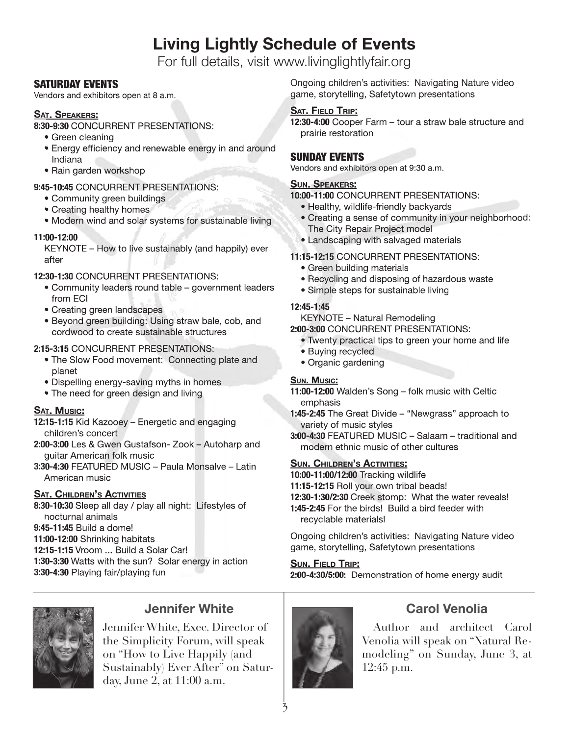# **Living Lightly Schedule of Events**

For full details, visit www.livinglightlyfair.org

#### SATURDAY EVENTS

Vendors and exhibitors open at 8 a.m.

#### **SAT. SPEAKERS:**

**8:30-9:30** CONCURRENT PRESENTATIONS:

- Green cleaning
- Energy efficiency and renewable energy in and around Indiana
- Rain garden workshop

#### **9:45-10:45** CONCURRENT PRESENTATIONS:

- Community green buildings
- Creating healthy homes
- Modern wind and solar systems for sustainable living

#### **11:00-12:00**

KEYNOTE – How to live sustainably (and happily) ever after

#### **12:30-1:30** CONCURRENT PRESENTATIONS:

- Community leaders round table government leaders from ECI
- Creating green landscapes
- Beyond green building: Using straw bale, cob, and cordwood to create sustainable structures

#### **2:15-3:15** CONCURRENT PRESENTATIONS:

- The Slow Food movement: Connecting plate and planet
- Dispelling energy-saving myths in homes
- The need for green design and living

#### **SAT. MUSIC:**

- **12:15-1:15** Kid Kazooey Energetic and engaging children's concert
- **2:00-3:00** Les & Gwen Gustafson- Zook Autoharp and guitar American folk music
- **3:30-4:30** FEATURED MUSIC Paula Monsalve Latin American music

#### **SAT. CHILDREN'S ACTIVITIES**

**8:30-10:30** Sleep all day / play all night: Lifestyles of nocturnal animals **9:45-11:45** Build a dome! **11:00-12:00** Shrinking habitats **12:15-1:15** Vroom ... Build a Solar Car!

**1:30-3:30** Watts with the sun? Solar energy in action **3:30-4:30** Playing fair/playing fun



### **Jennifer White**

Jennifer White, Exec. Director of the Simplicity Forum, will speak on "How to Live Happily (and Sustainably) Ever After" on Saturday, June 2, at 11:00 a.m.

Ongoing children's activities: Navigating Nature video game, storytelling, Safetytown presentations

#### **SAT. FIELD TRIP:**

**12:30-4:00** Cooper Farm – tour a straw bale structure and prairie restoration

#### SUNDAY EVENTS

Vendors and exhibitors open at 9:30 a.m.

#### **SUN. SPEAKERS:**

**10:00-11:00** CONCURRENT PRESENTATIONS:

- Healthy, wildlife-friendly backyards
- Creating a sense of community in your neighborhood: The City Repair Project model
- Landscaping with salvaged materials

#### **11:15-12:15** CONCURRENT PRESENTATIONS:

- Green building materials
- Recycling and disposing of hazardous waste
- Simple steps for sustainable living

#### **12:45-1:45**

KEYNOTE – Natural Remodeling

**2:00-3:00** CONCURRENT PRESENTATIONS:

- Twenty practical tips to green your home and life
- Buying recycled
- Organic gardening

#### **SUN. MUSIC:**

- **11:00-12:00** Walden's Song folk music with Celtic emphasis
- **1:45-2:45** The Great Divide "Newgrass" approach to variety of music styles
- **3:00-4:30** FEATURED MUSIC Salaam traditional and modern ethnic music of other cultures

#### **SUN. CHILDREN'S ACTIVITIES:**

**10:00-11:00/12:00** Tracking wildlife

**11:15-12:15** Roll your own tribal beads!

**12:30-1:30/2:30** Creek stomp: What the water reveals!

**1:45-2:45** For the birds! Build a bird feeder with recyclable materials!

Ongoing children's activities: Navigating Nature video game, storytelling, Safetytown presentations

#### **SUN. FIELD TRIP:**

**2:00-4:30/5:00:** Demonstration of home energy audit



### **Carol Venolia**

Author and architect Carol Venolia will speak on "Natural Remodeling" on Sunday, June 3, at 12:45 p.m.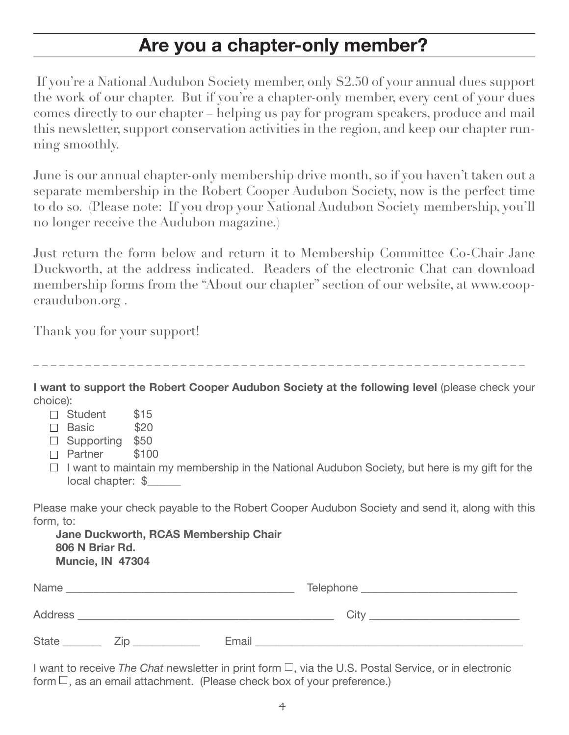# **Are you a chapter-only member?**

 If you're a National Audubon Society member, only \$2.50 of your annual dues support the work of our chapter. But if you're a chapter-only member, every cent of your dues comes directly to our chapter – helping us pay for program speakers, produce and mail this newsletter, support conservation activities in the region, and keep our chapter running smoothly.

June is our annual chapter-only membership drive month, so if you haven't taken out a separate membership in the Robert Cooper Audubon Society, now is the perfect time to do so. (Please note: If you drop your National Audubon Society membership, you'll no longer receive the Audubon magazine.)

Just return the form below and return it to Membership Committee Co-Chair Jane Duckworth, at the address indicated. Readers of the electronic Chat can download membership forms from the "About our chapter" section of our website, at www.cooperaudubon.org .

Thank you for your support!

\_ \_ \_ \_ \_ \_ \_ \_ \_ \_ \_ \_ \_ \_ \_ \_ \_ \_ \_ \_ \_ \_ \_ \_ \_ \_ \_ \_ \_ \_ \_ \_ \_ \_ \_ \_ \_ \_ \_ \_ \_ \_ \_ \_ \_ \_ \_ \_ \_ \_ \_ \_ \_ \_ \_ \_ \_

**I want to support the Robert Cooper Audubon Society at the following level** (please check your choice):

- $\Box$  Student \$15
- $\Box$  Basic  $$20$
- $\Box$  Supporting \$50
- □ Partner \$100
- $\Box$  I want to maintain my membership in the National Audubon Society, but here is my gift for the local chapter: \$

Please make your check payable to the Robert Cooper Audubon Society and send it, along with this form, to:

| Jane Duckworth, RCAS Membership Chair |
|---------------------------------------|
| 806 N Briar Rd.                       |
| <b>Muncie, IN 47304</b>               |

| Name           |     |       | Telephone |      |
|----------------|-----|-------|-----------|------|
| <b>Address</b> |     |       |           | City |
| <b>State</b>   | /in | Email |           |      |

I want to receive *The Chat* newsletter in print form □, via the U.S. Postal Service, or in electronic form  $\Box$ , as an email attachment. (Please check box of your preference.)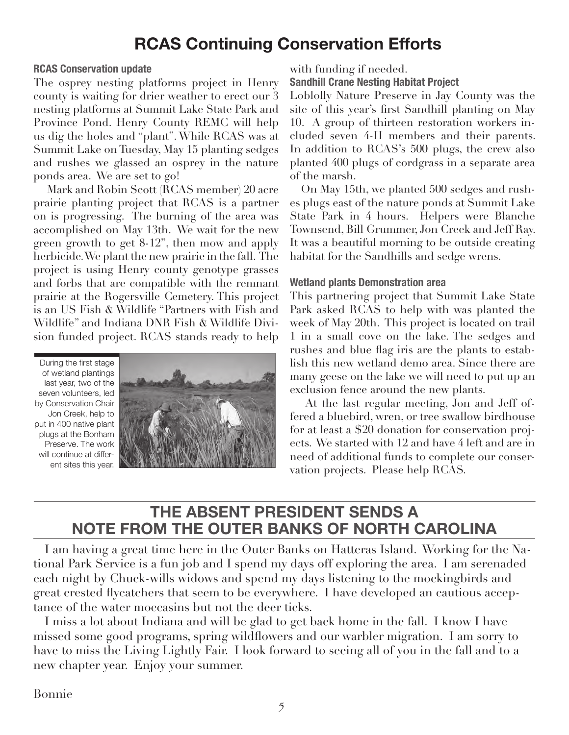# **RCAS Continuing Conservation Efforts**

#### **RCAS Conservation update**

The osprey nesting platforms project in Henry county is waiting for drier weather to erect our 3 nesting platforms at Summit Lake State Park and Province Pond. Henry County REMC will help us dig the holes and "plant". While RCAS was at Summit Lake on Tuesday, May 15 planting sedges and rushes we glassed an osprey in the nature ponds area. We are set to go!

 Mark and Robin Scott (RCAS member) 20 acre prairie planting project that RCAS is a partner on is progressing. The burning of the area was accomplished on May 13th. We wait for the new green growth to get 8-12", then mow and apply herbicide. We plant the new prairie in the fall. The project is using Henry county genotype grasses and forbs that are compatible with the remnant prairie at the Rogersville Cemetery. This project is an US Fish & Wildlife "Partners with Fish and Wildlife" and Indiana DNR Fish & Wildlife Division funded project. RCAS stands ready to help

During the first stage of wetland plantings last year, two of the seven volunteers, led by Conservation Chair Jon Creek, help to put in 400 native plant plugs at the Bonham Preserve. The work will continue at different sites this year.



with funding if needed.

**Sandhill Crane Nesting Habitat Project**

Loblolly Nature Preserve in Jay County was the site of this year's first Sandhill planting on May 10. A group of thirteen restoration workers included seven 4-H members and their parents. In addition to RCAS's 500 plugs, the crew also planted 400 plugs of cordgrass in a separate area of the marsh.

On May 15th, we planted 500 sedges and rushes plugs east of the nature ponds at Summit Lake State Park in 4 hours. Helpers were Blanche Townsend, Bill Grummer, Jon Creek and Jeff Ray. It was a beautiful morning to be outside creating habitat for the Sandhills and sedge wrens.

#### **Wetland plants Demonstration area**

This partnering project that Summit Lake State Park asked RCAS to help with was planted the week of May 20th. This project is located on trail 1 in a small cove on the lake. The sedges and rushes and blue flag iris are the plants to establish this new wetland demo area. Since there are many geese on the lake we will need to put up an exclusion fence around the new plants.

 At the last regular meeting, Jon and Jeff offered a bluebird, wren, or tree swallow birdhouse for at least a \$20 donation for conservation projects. We started with 12 and have 4 left and are in need of additional funds to complete our conservation projects. Please help RCAS.

### **THE ABSENT PRESIDENT SENDS A NOTE FROM THE OUTER BANKS OF NORTH CAROLINA**

I am having a great time here in the Outer Banks on Hatteras Island. Working for the National Park Service is a fun job and I spend my days off exploring the area. I am serenaded each night by Chuck-wills widows and spend my days listening to the mockingbirds and great crested flycatchers that seem to be everywhere. I have developed an cautious acceptance of the water moccasins but not the deer ticks.

I miss a lot about Indiana and will be glad to get back home in the fall. I know I have missed some good programs, spring wildflowers and our warbler migration. I am sorry to have to miss the Living Lightly Fair. I look forward to seeing all of you in the fall and to a new chapter year. Enjoy your summer.

Bonnie